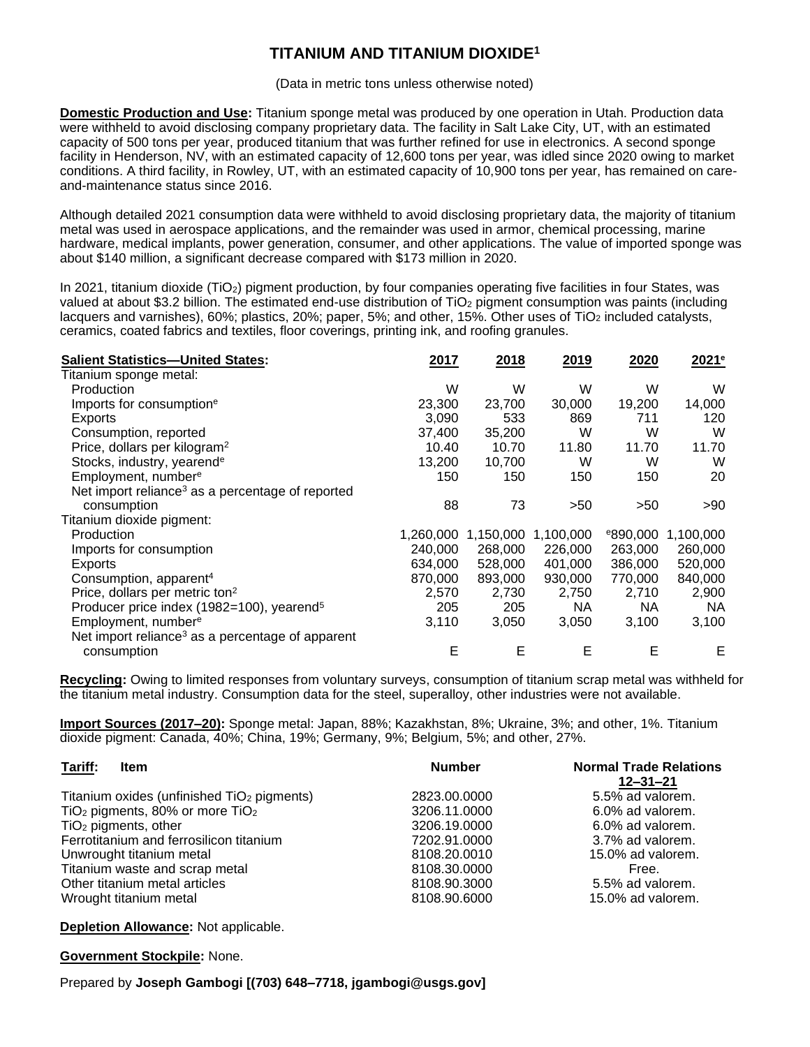## **TITANIUM AND TITANIUM DIOXIDE<sup>1</sup>**

(Data in metric tons unless otherwise noted)

**Domestic Production and Use:** Titanium sponge metal was produced by one operation in Utah. Production data were withheld to avoid disclosing company proprietary data. The facility in Salt Lake City, UT, with an estimated capacity of 500 tons per year, produced titanium that was further refined for use in electronics. A second sponge facility in Henderson, NV, with an estimated capacity of 12,600 tons per year, was idled since 2020 owing to market conditions. A third facility, in Rowley, UT, with an estimated capacity of 10,900 tons per year, has remained on careand-maintenance status since 2016.

Although detailed 2021 consumption data were withheld to avoid disclosing proprietary data, the majority of titanium metal was used in aerospace applications, and the remainder was used in armor, chemical processing, marine hardware, medical implants, power generation, consumer, and other applications. The value of imported sponge was about \$140 million, a significant decrease compared with \$173 million in 2020.

In 2021, titanium dioxide (TiO<sub>2</sub>) pigment production, by four companies operating five facilities in four States, was valued at about \$3.2 billion. The estimated end-use distribution of TiO<sub>2</sub> pigment consumption was paints (including lacquers and varnishes), 60%; plastics, 20%; paper, 5%; and other, 15%. Other uses of TiO<sub>2</sub> included catalysts, ceramics, coated fabrics and textiles, floor coverings, printing ink, and roofing granules.

| <b>Salient Statistics-United States:</b>                     | 2017      | 2018      | 2019      | 2020                 | 2021 <sup>e</sup> |
|--------------------------------------------------------------|-----------|-----------|-----------|----------------------|-------------------|
| Titanium sponge metal:                                       |           |           |           |                      |                   |
| Production                                                   | W         | W         | W         | W                    | W                 |
| Imports for consumption <sup>e</sup>                         | 23,300    | 23,700    | 30,000    | 19,200               | 14,000            |
| Exports                                                      | 3,090     | 533       | 869       | 711                  | 120               |
| Consumption, reported                                        | 37,400    | 35,200    | W         | W                    | W                 |
| Price, dollars per kilogram <sup>2</sup>                     | 10.40     | 10.70     | 11.80     | 11.70                | 11.70             |
| Stocks, industry, yearend <sup>e</sup>                       | 13,200    | 10,700    | W         | W                    | W                 |
| Employment, number <sup>e</sup>                              | 150       | 150       | 150       | 150                  | 20                |
| Net import reliance <sup>3</sup> as a percentage of reported |           |           |           |                      |                   |
| consumption                                                  | 88        | 73        | >50       | >50                  | >90               |
| Titanium dioxide pigment:                                    |           |           |           |                      |                   |
| Production                                                   | 1,260,000 | 1,150,000 | 1,100,000 | <sup>e</sup> 890,000 | 1,100,000         |
| Imports for consumption                                      | 240,000   | 268,000   | 226,000   | 263,000              | 260,000           |
| Exports                                                      | 634,000   | 528,000   | 401,000   | 386,000              | 520,000           |
| Consumption, apparent <sup>4</sup>                           | 870,000   | 893,000   | 930,000   | 770,000              | 840,000           |
| Price, dollars per metric ton <sup>2</sup>                   | 2,570     | 2,730     | 2,750     | 2,710                | 2,900             |
| Producer price index (1982=100), yearend <sup>5</sup>        | 205       | 205       | NA.       | NA.                  | <b>NA</b>         |
| Employment, number <sup>e</sup>                              | 3,110     | 3,050     | 3,050     | 3,100                | 3,100             |
| Net import reliance <sup>3</sup> as a percentage of apparent |           |           |           |                      |                   |
| consumption                                                  | Е         | Е         | Е         | E                    | Е                 |

**Recycling:** Owing to limited responses from voluntary surveys, consumption of titanium scrap metal was withheld for the titanium metal industry. Consumption data for the steel, superalloy, other industries were not available.

**Import Sources (2017–20):** Sponge metal: Japan, 88%; Kazakhstan, 8%; Ukraine, 3%; and other, 1%. Titanium dioxide pigment: Canada, 40%; China, 19%; Germany, 9%; Belgium, 5%; and other, 27%.

| Tariff:<br><b>Item</b>                                 | <b>Number</b> | <b>Normal Trade Relations</b><br>$12 - 31 - 21$ |  |  |
|--------------------------------------------------------|---------------|-------------------------------------------------|--|--|
|                                                        |               |                                                 |  |  |
| Titanium oxides (unfinished TiO <sub>2</sub> pigments) | 2823.00.0000  | 5.5% ad valorem.                                |  |  |
| TiO <sub>2</sub> pigments, 80% or more $TiO2$          | 3206.11.0000  | 6.0% ad valorem.                                |  |  |
| $TiO2$ pigments, other                                 | 3206.19.0000  | 6.0% ad valorem.                                |  |  |
| Ferrotitanium and ferrosilicon titanium                | 7202.91.0000  | 3.7% ad valorem.                                |  |  |
| Unwrought titanium metal                               | 8108.20.0010  | 15.0% ad valorem.                               |  |  |
| Titanium waste and scrap metal                         | 8108.30.0000  | Free.                                           |  |  |
| Other titanium metal articles                          | 8108.90.3000  | 5.5% ad valorem.                                |  |  |
| Wrought titanium metal                                 | 8108.90.6000  | 15.0% ad valorem.                               |  |  |

**Depletion Allowance:** Not applicable.

**Government Stockpile:** None.

Prepared by **Joseph Gambogi [(703) 648–7718, jgambogi@usgs.gov]**